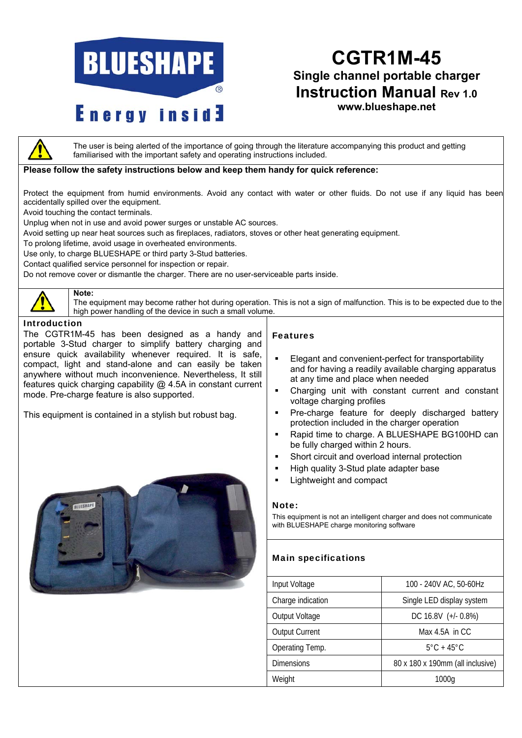

# **CGTR1M-45 Single channel portable charger Instruction Manual Rev 1.0 www.blueshape.net**

The user is being alerted of the importance of going through the literature accompanying this product and getting familiarised with the important safety and operating instructions included.

## **Please follow the safety instructions below and keep them handy for quick reference:**

Protect the equipment from humid environments. Avoid any contact with water or other fluids. Do not use if any liquid has been accidentally spilled over the equipment.

Avoid touching the contact terminals.

**Note:**

Unplug when not in use and avoid power surges or unstable AC sources.

Avoid setting up near heat sources such as fireplaces, radiators, stoves or other heat generating equipment.

To prolong lifetime, avoid usage in overheated environments.

Use only, to charge BLUESHAPE or third party 3-Stud batteries.

Contact qualified service personnel for inspection or repair.

Do not remove cover or dismantle the charger. There are no user-serviceable parts inside.



The equipment may become rather hot during operation. This is not a sign of malfunction. This is to be expected due to the high power handling of the device in such a small volume.

### Introduction

The CGTR1M-45 has been designed as a handy and portable 3-Stud charger to simplify battery charging and ensure quick availability whenever required. It is safe, compact, light and stand-alone and can easily be taken anywhere without much inconvenience. Nevertheless, It still features quick charging capability @ 4.5A in constant current mode. Pre-charge feature is also supported.

This equipment is contained in a stylish but robust bag.



#### Features

- **Elegant and convenient-perfect for transportability** and for having a readily available charging apparatus at any time and place when needed
- Charging unit with constant current and constant voltage charging profiles
- **Pre-charge feature for deeply discharged battery** protection included in the charger operation
- **Rapid time to charge. A BLUESHAPE BG100HD can** be fully charged within 2 hours.
- **Short circuit and overload internal protection**
- High quality 3-Stud plate adapter base
- Lightweight and compact

#### Note:

This equipment is not an intelligent charger and does not communicate with BLUESHAPE charge monitoring software

# Main specifications

| Input Voltage         | 100 - 240V AC, 50-60Hz           |  |  |
|-----------------------|----------------------------------|--|--|
| Charge indication     | Single LED display system        |  |  |
| Output Voltage        | DC 16.8V (+/- 0.8%)              |  |  |
| <b>Output Current</b> | Max $4.5A$ in CC                 |  |  |
| Operating Temp.       | $5^{\circ}$ C + 45 $^{\circ}$ C  |  |  |
| <b>Dimensions</b>     | 80 x 180 x 190mm (all inclusive) |  |  |
| Weight                | 1000a                            |  |  |